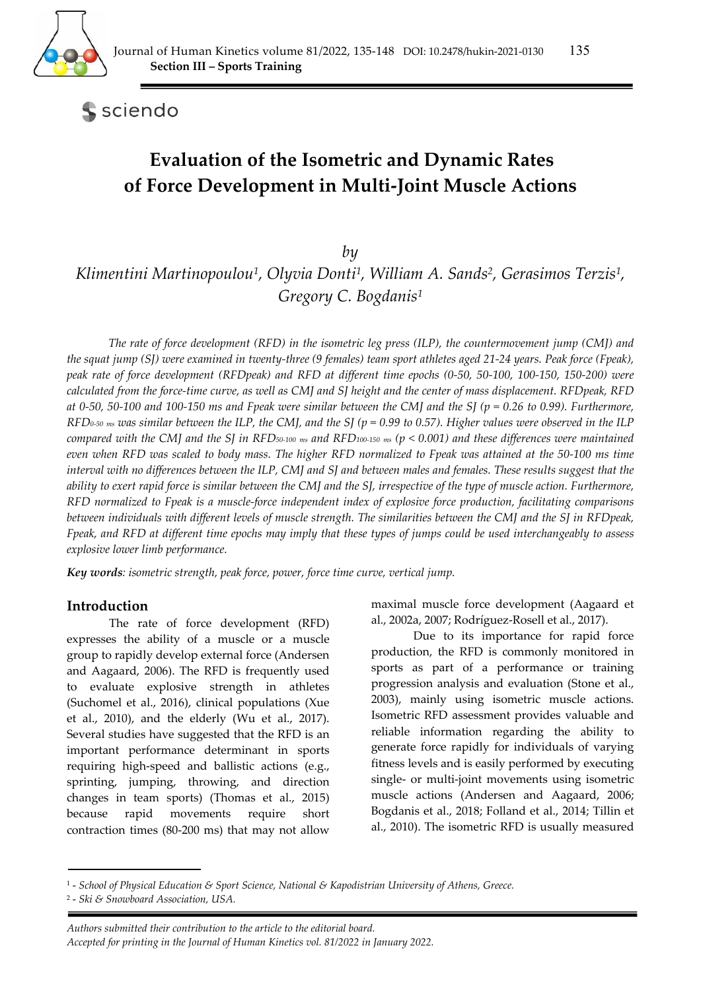

sciendo

# **Evaluation of the Isometric and Dynamic Rates of Force Development in Multi-Joint Muscle Actions**

*by* 

*Klimentini Martinopoulou1, Olyvia Donti1, William A. Sands2, Gerasimos Terzis1, Gregory C. Bogdanis1*

*The rate of force development (RFD) in the isometric leg press (ILP), the countermovement jump (CMJ) and the squat jump (SJ) were examined in twenty-three (9 females) team sport athletes aged 21-24 years. Peak force (Fpeak), peak rate of force development (RFDpeak) and RFD at different time epochs (0-50, 50-100, 100-150, 150-200) were calculated from the force-time curve, as well as CMJ and SJ height and the center of mass displacement. RFDpeak, RFD at 0-50, 50-100 and 100-150 ms and Fpeak were similar between the CMJ and the SJ (p = 0.26 to 0.99). Furthermore, RFD0-50 ms was similar between the ILP, the CMJ, and the SJ (p = 0.99 to 0.57). Higher values were observed in the ILP compared with the CMJ and the SJ in RFD50-100 ms and RFD100-150 ms (p < 0.001) and these differences were maintained even when RFD was scaled to body mass. The higher RFD normalized to Fpeak was attained at the 50-100 ms time interval with no differences between the ILP, CMJ and SJ and between males and females. These results suggest that the ability to exert rapid force is similar between the CMJ and the SJ, irrespective of the type of muscle action. Furthermore, RFD normalized to Fpeak is a muscle-force independent index of explosive force production, facilitating comparisons between individuals with different levels of muscle strength. The similarities between the CMJ and the SJ in RFDpeak, Fpeak, and RFD at different time epochs may imply that these types of jumps could be used interchangeably to assess explosive lower limb performance.* 

*Key words: isometric strength, peak force, power, force time curve, vertical jump.* 

# **Introduction**

The rate of force development (RFD) expresses the ability of a muscle or a muscle group to rapidly develop external force (Andersen and Aagaard, 2006). The RFD is frequently used to evaluate explosive strength in athletes (Suchomel et al., 2016), clinical populations (Xue et al., 2010), and the elderly (Wu et al., 2017). Several studies have suggested that the RFD is an important performance determinant in sports requiring high-speed and ballistic actions (e.g., sprinting, jumping, throwing, and direction changes in team sports) (Thomas et al., 2015) because rapid movements require short contraction times (80-200 ms) that may not allow

maximal muscle force development (Aagaard et al., 2002a, 2007; Rodríguez-Rosell et al., 2017).

Due to its importance for rapid force production, the RFD is commonly monitored in sports as part of a performance or training progression analysis and evaluation (Stone et al., 2003), mainly using isometric muscle actions. Isometric RFD assessment provides valuable and reliable information regarding the ability to generate force rapidly for individuals of varying fitness levels and is easily performed by executing single- or multi-joint movements using isometric muscle actions (Andersen and Aagaard, 2006; Bogdanis et al., 2018; Folland et al., 2014; Tillin et al., 2010). The isometric RFD is usually measured

<sup>1 -</sup> *School of Physical Education & Sport Science, National & Kapodistrian University of Athens, Greece.* 

<sup>2 -</sup> *Ski & Snowboard Association, USA.*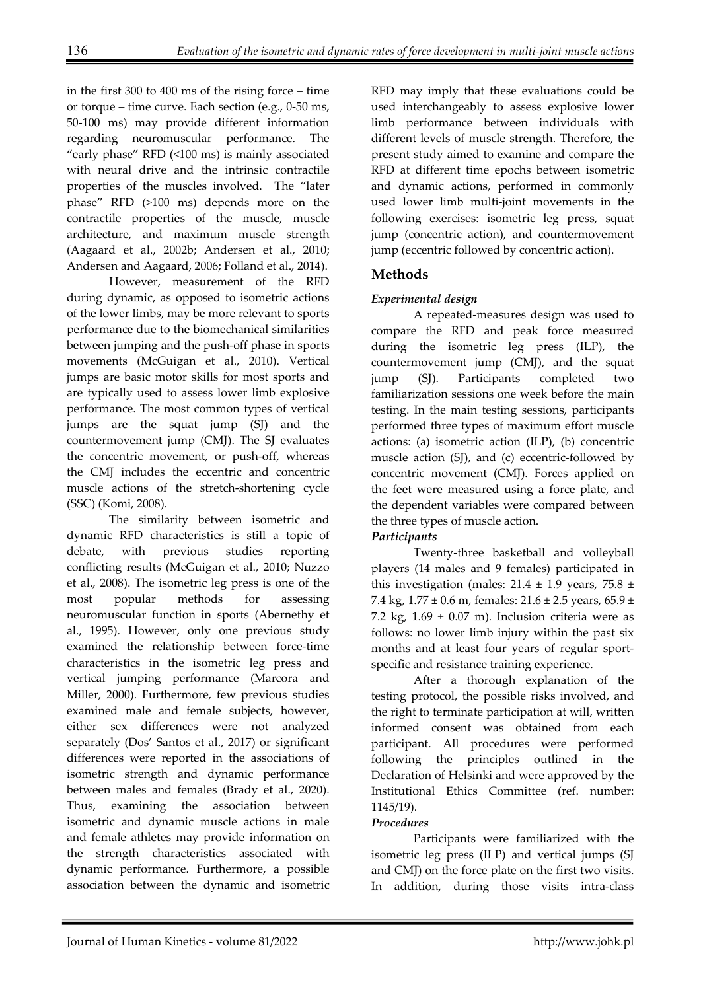in the first 300 to 400 ms of the rising force – time or torque – time curve. Each section (e.g., 0-50 ms, 50-100 ms) may provide different information regarding neuromuscular performance. The "early phase" RFD (<100 ms) is mainly associated with neural drive and the intrinsic contractile properties of the muscles involved. The "later phase" RFD (>100 ms) depends more on the contractile properties of the muscle, muscle architecture, and maximum muscle strength (Aagaard et al., 2002b; Andersen et al., 2010; Andersen and Aagaard, 2006; Folland et al., 2014).

However, measurement of the RFD during dynamic, as opposed to isometric actions of the lower limbs, may be more relevant to sports performance due to the biomechanical similarities between jumping and the push-off phase in sports movements (McGuigan et al., 2010). Vertical jumps are basic motor skills for most sports and are typically used to assess lower limb explosive performance. The most common types of vertical jumps are the squat jump (SJ) and the countermovement jump (CMJ). The SJ evaluates the concentric movement, or push-off, whereas the CMJ includes the eccentric and concentric muscle actions of the stretch-shortening cycle (SSC) (Komi, 2008).

The similarity between isometric and dynamic RFD characteristics is still a topic of debate, with previous studies reporting conflicting results (McGuigan et al., 2010; Nuzzo et al., 2008). The isometric leg press is one of the most popular methods for assessing neuromuscular function in sports (Abernethy et al., 1995). However, only one previous study examined the relationship between force-time characteristics in the isometric leg press and vertical jumping performance (Marcora and Miller, 2000). Furthermore, few previous studies examined male and female subjects, however, either sex differences were not analyzed separately (Dos' Santos et al., 2017) or significant differences were reported in the associations of isometric strength and dynamic performance between males and females (Brady et al., 2020). Thus, examining the association between isometric and dynamic muscle actions in male and female athletes may provide information on the strength characteristics associated with dynamic performance. Furthermore, a possible association between the dynamic and isometric

RFD may imply that these evaluations could be used interchangeably to assess explosive lower limb performance between individuals with different levels of muscle strength. Therefore, the present study aimed to examine and compare the RFD at different time epochs between isometric and dynamic actions, performed in commonly used lower limb multi-joint movements in the following exercises: isometric leg press, squat jump (concentric action), and countermovement jump (eccentric followed by concentric action).

# **Methods**

# *Experimental design*

A repeated-measures design was used to compare the RFD and peak force measured during the isometric leg press (ILP), the countermovement jump (CMJ), and the squat jump (SJ). Participants completed two familiarization sessions one week before the main testing. In the main testing sessions, participants performed three types of maximum effort muscle actions: (a) isometric action (ILP), (b) concentric muscle action (SJ), and (c) eccentric-followed by concentric movement (CMJ). Forces applied on the feet were measured using a force plate, and the dependent variables were compared between the three types of muscle action.

# *Participants*

Twenty-three basketball and volleyball players (14 males and 9 females) participated in this investigation (males:  $21.4 \pm 1.9$  years,  $75.8 \pm$ 7.4 kg,  $1.77 \pm 0.6$  m, females:  $21.6 \pm 2.5$  years,  $65.9 \pm 1.6$ 7.2 kg,  $1.69 \pm 0.07$  m). Inclusion criteria were as follows: no lower limb injury within the past six months and at least four years of regular sportspecific and resistance training experience.

After a thorough explanation of the testing protocol, the possible risks involved, and the right to terminate participation at will, written informed consent was obtained from each participant. All procedures were performed following the principles outlined in the Declaration of Helsinki and were approved by the Institutional Ethics Committee (ref. number: 1145/19).

## *Procedures*

Participants were familiarized with the isometric leg press (ILP) and vertical jumps (SJ and CMJ) on the force plate on the first two visits. In addition, during those visits intra-class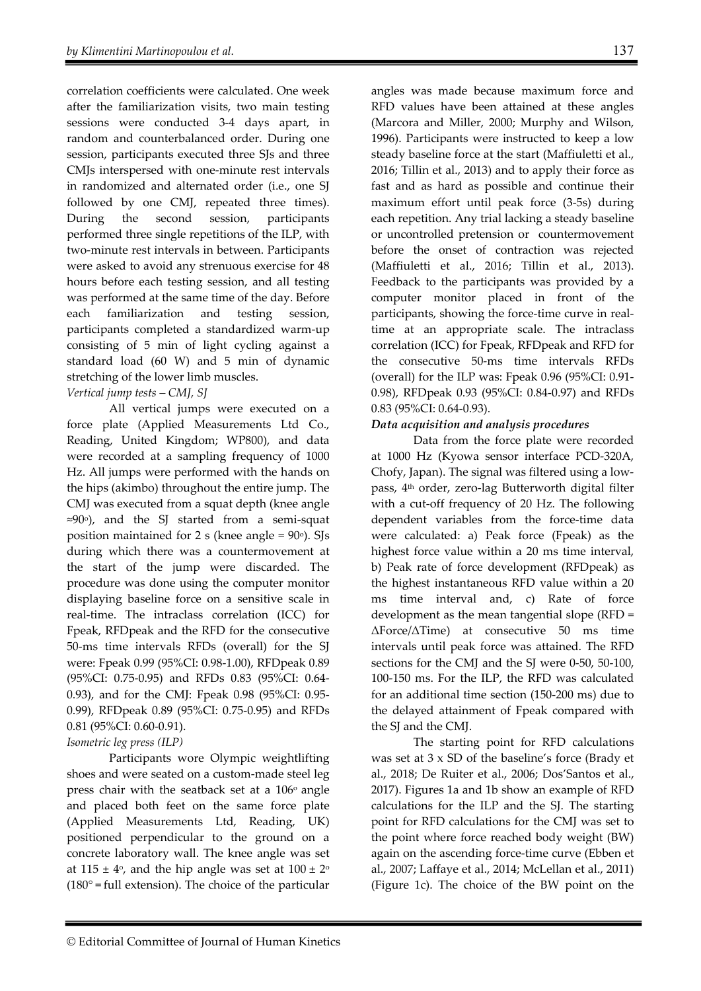correlation coefficients were calculated. One week after the familiarization visits, two main testing sessions were conducted 3-4 days apart, in random and counterbalanced order. During one session, participants executed three SJs and three CMJs interspersed with one-minute rest intervals in randomized and alternated order (i.e., one SJ followed by one CMJ, repeated three times). During the second session, participants performed three single repetitions of the ILP, with two-minute rest intervals in between. Participants were asked to avoid any strenuous exercise for 48 hours before each testing session, and all testing was performed at the same time of the day. Before each familiarization and testing session, participants completed a standardized warm-up consisting of 5 min of light cycling against a standard load (60 W) and 5 min of dynamic stretching of the lower limb muscles.

## *Vertical jump tests – CMJ, SJ*

All vertical jumps were executed on a force plate (Applied Measurements Ltd Co., Reading, United Kingdom; WP800), and data were recorded at a sampling frequency of 1000 Hz. All jumps were performed with the hands on the hips (akimbo) throughout the entire jump. The CMJ was executed from a squat depth (knee angle ≈90o), and the SJ started from a semi-squat position maintained for  $2 s$  (knee angle =  $90^\circ$ ). SJs during which there was a countermovement at the start of the jump were discarded. The procedure was done using the computer monitor displaying baseline force on a sensitive scale in real-time. The intraclass correlation (ICC) for Fpeak, RFDpeak and the RFD for the consecutive 50-ms time intervals RFDs (overall) for the SJ were: Fpeak 0.99 (95%CI: 0.98-1.00), RFDpeak 0.89 (95%CI: 0.75-0.95) and RFDs 0.83 (95%CI: 0.64- 0.93), and for the CMJ: Fpeak 0.98 (95%CI: 0.95- 0.99), RFDpeak 0.89 (95%CI: 0.75-0.95) and RFDs 0.81 (95%CI: 0.60-0.91).

#### *Isometric leg press (ILP)*

Participants wore Olympic weightlifting shoes and were seated on a custom-made steel leg press chair with the seatback set at a  $106°$  angle and placed both feet on the same force plate (Applied Measurements Ltd, Reading, UK) positioned perpendicular to the ground on a concrete laboratory wall. The knee angle was set at  $115 \pm 4$ <sup>o</sup>, and the hip angle was set at  $100 \pm 2$ <sup>o</sup>  $(180^\circ = \text{full extension})$ . The choice of the particular angles was made because maximum force and RFD values have been attained at these angles (Marcora and Miller, 2000; Murphy and Wilson, 1996). Participants were instructed to keep a low steady baseline force at the start (Maffiuletti et al., 2016; Tillin et al., 2013) and to apply their force as fast and as hard as possible and continue their maximum effort until peak force (3-5s) during each repetition. Any trial lacking a steady baseline or uncontrolled pretension or countermovement before the onset of contraction was rejected (Maffiuletti et al., 2016; Tillin et al., 2013). Feedback to the participants was provided by a computer monitor placed in front of the participants, showing the force-time curve in realtime at an appropriate scale. The intraclass correlation (ICC) for Fpeak, RFDpeak and RFD for the consecutive 50-ms time intervals RFDs (overall) for the ILP was: Fpeak 0.96 (95%CI: 0.91- 0.98), RFDpeak 0.93 (95%CI: 0.84-0.97) and RFDs 0.83 (95%CI: 0.64-0.93).

### *Data acquisition and analysis procedures*

Data from the force plate were recorded at 1000 Hz (Kyowa sensor interface PCD-320A, Chofy, Japan). The signal was filtered using a lowpass, 4th order, zero-lag Butterworth digital filter with a cut-off frequency of 20 Hz. The following dependent variables from the force-time data were calculated: a) Peak force (Fpeak) as the highest force value within a 20 ms time interval, b) Peak rate of force development (RFDpeak) as the highest instantaneous RFD value within a 20 ms time interval and, c) Rate of force development as the mean tangential slope (RFD = ΔForce/ΔTime) at consecutive 50 ms time intervals until peak force was attained. The RFD sections for the CMJ and the SJ were 0-50, 50-100, 100-150 ms. For the ILP, the RFD was calculated for an additional time section (150-200 ms) due to the delayed attainment of Fpeak compared with the SJ and the CMJ.

The starting point for RFD calculations was set at 3 x SD of the baseline's force (Brady et al., 2018; De Ruiter et al., 2006; Dos'Santos et al., 2017). Figures 1a and 1b show an example of RFD calculations for the ILP and the SJ. The starting point for RFD calculations for the CMJ was set to the point where force reached body weight (BW) again on the ascending force-time curve (Ebben et al., 2007; Laffaye et al., 2014; McLellan et al., 2011) (Figure 1c). The choice of the BW point on the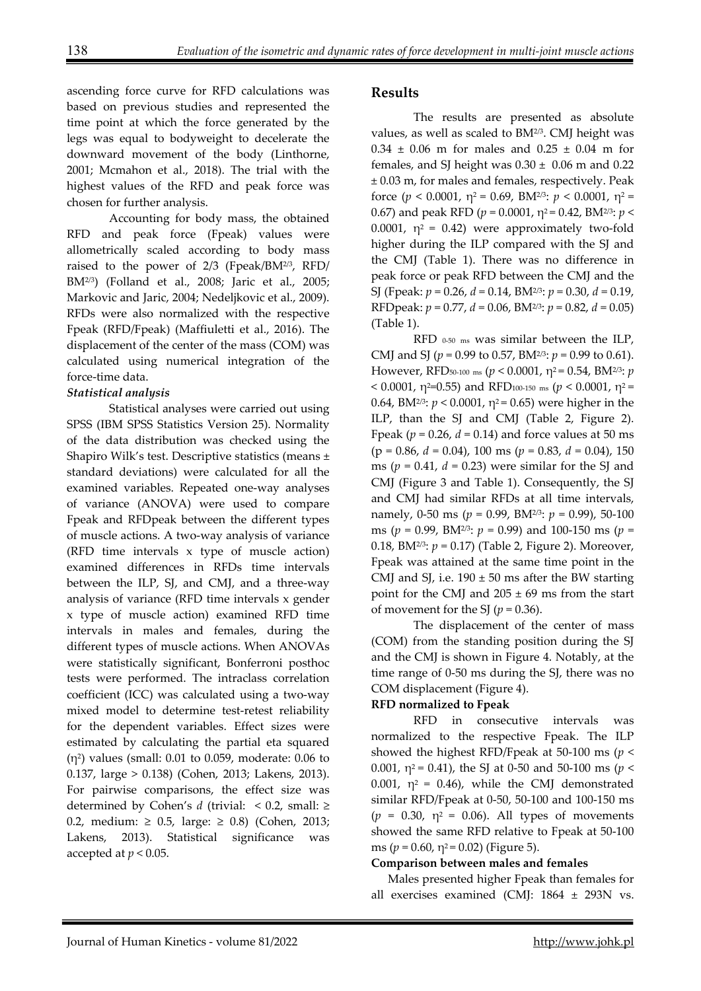ascending force curve for RFD calculations was based on previous studies and represented the time point at which the force generated by the legs was equal to bodyweight to decelerate the downward movement of the body (Linthorne, 2001; Mcmahon et al., 2018). The trial with the highest values of the RFD and peak force was chosen for further analysis.

Accounting for body mass, the obtained RFD and peak force (Fpeak) values were allometrically scaled according to body mass raised to the power of 2/3 (Fpeak/BM2/3, RFD/ BM2/3) (Folland et al., 2008; Jaric et al., 2005; Markovic and Jaric, 2004; Nedeljkovic et al., 2009). RFDs were also normalized with the respective Fpeak (RFD/Fpeak) (Maffiuletti et al., 2016). The displacement of the center of the mass (COM) was calculated using numerical integration of the force-time data.

# *Statistical analysis*

Statistical analyses were carried out using SPSS (IBM SPSS Statistics Version 25). Normality of the data distribution was checked using the Shapiro Wilk's test. Descriptive statistics (means ± standard deviations) were calculated for all the examined variables. Repeated one-way analyses of variance (ANOVA) were used to compare Fpeak and RFDpeak between the different types of muscle actions. A two-way analysis of variance (RFD time intervals x type of muscle action) examined differences in RFDs time intervals between the ILP, SJ, and CMJ, and a three-way analysis of variance (RFD time intervals x gender x type of muscle action) examined RFD time intervals in males and females, during the different types of muscle actions. When ANOVAs were statistically significant, Bonferroni posthoc tests were performed. The intraclass correlation coefficient (ICC) was calculated using a two-way mixed model to determine test-retest reliability for the dependent variables. Effect sizes were estimated by calculating the partial eta squared  $(n^2)$  values (small: 0.01 to 0.059, moderate: 0.06 to 0.137, large > 0.138) (Cohen, 2013; Lakens, 2013). For pairwise comparisons, the effect size was determined by Cohen's *d* (trivial:  $\leq$  0.2, small:  $\geq$ 0.2, medium: ≥ 0.5, large: ≥ 0.8) (Cohen, 2013; Lakens, 2013). Statistical significance was accepted at  $p < 0.05$ .

# **Results**

The results are presented as absolute values, as well as scaled to BM2/3. CMJ height was  $0.34 \pm 0.06$  m for males and  $0.25 \pm 0.04$  m for females, and SJ height was  $0.30 \pm 0.06$  m and  $0.22$ ± 0.03 m, for males and females, respectively. Peak force  $(p < 0.0001, \eta^2 = 0.69, \text{BM}^{2/3}$ :  $p < 0.0001, \eta^2 =$ 0.67) and peak RFD ( $p = 0.0001$ ,  $\eta^2 = 0.42$ , BM<sup>2/3</sup>:  $p <$ 0.0001,  $\eta^2 = 0.42$ ) were approximately two-fold higher during the ILP compared with the SJ and the CMJ (Table 1). There was no difference in peak force or peak RFD between the CMJ and the SJ (Fpeak: *p* = 0.26, *d* = 0.14, BM2/3: *p* = 0.30, *d* = 0.19, RFDpeak: *p* = 0.77, *d* = 0.06, BM2/3: *p* = 0.82, *d* = 0.05) (Table 1).

RFD 0-50 ms was similar between the ILP, CMJ and SJ (*p* = 0.99 to 0.57, BM2/3: *p* = 0.99 to 0.61). However, RFD50-100 ms (*p* < 0.0001, η2 = 0.54, BM2/3: *p* < 0.0001,  $η^2$ =0.55) and RFD<sub>100-150</sub> ms ( $p < 0.0001$ ,  $η^2$  = 0.64, BM<sup>2/3</sup>:  $p < 0.0001$ ,  $\eta^2 = 0.65$ ) were higher in the ILP, than the SJ and CMJ (Table 2, Figure 2). Fpeak ( $p = 0.26$ ,  $d = 0.14$ ) and force values at 50 ms (p = 0.86, *d* = 0.04), 100 ms (*p* = 0.83, *d* = 0.04), 150 ms ( $p = 0.41$ ,  $d = 0.23$ ) were similar for the SJ and CMJ (Figure 3 and Table 1). Consequently, the SJ and CMJ had similar RFDs at all time intervals, namely, 0-50 ms (*p* = 0.99, BM2/3: *p* = 0.99), 50-100 ms (*p* = 0.99, BM2/3: *p* = 0.99) and 100-150 ms (*p* = 0.18, BM2/3: *p* = 0.17) (Table 2, Figure 2). Moreover, Fpeak was attained at the same time point in the CMJ and SJ, i.e.  $190 \pm 50$  ms after the BW starting point for the CMJ and  $205 \pm 69$  ms from the start of movement for the SJ  $(p = 0.36)$ .

The displacement of the center of mass (COM) from the standing position during the SJ and the CMJ is shown in Figure 4. Notably, at the time range of 0-50 ms during the SJ, there was no COM displacement (Figure 4).

## **RFD normalized to Fpeak**

RFD in consecutive intervals was normalized to the respective Fpeak. The ILP showed the highest RFD/Fpeak at 50-100 ms (*p* < 0.001,  $\eta^2$  = 0.41), the SJ at 0-50 and 50-100 ms (*p* < 0.001,  $\eta^2$  = 0.46), while the CMJ demonstrated similar RFD/Fpeak at 0-50, 50-100 and 100-150 ms  $(p = 0.30, \eta^2 = 0.06)$ . All types of movements showed the same RFD relative to Fpeak at 50-100 ms ( $p = 0.60$ ,  $\eta^2 = 0.02$ ) (Figure 5).

## **Comparison between males and females**

Males presented higher Fpeak than females for all exercises examined (CMJ: 1864 ± 293N vs.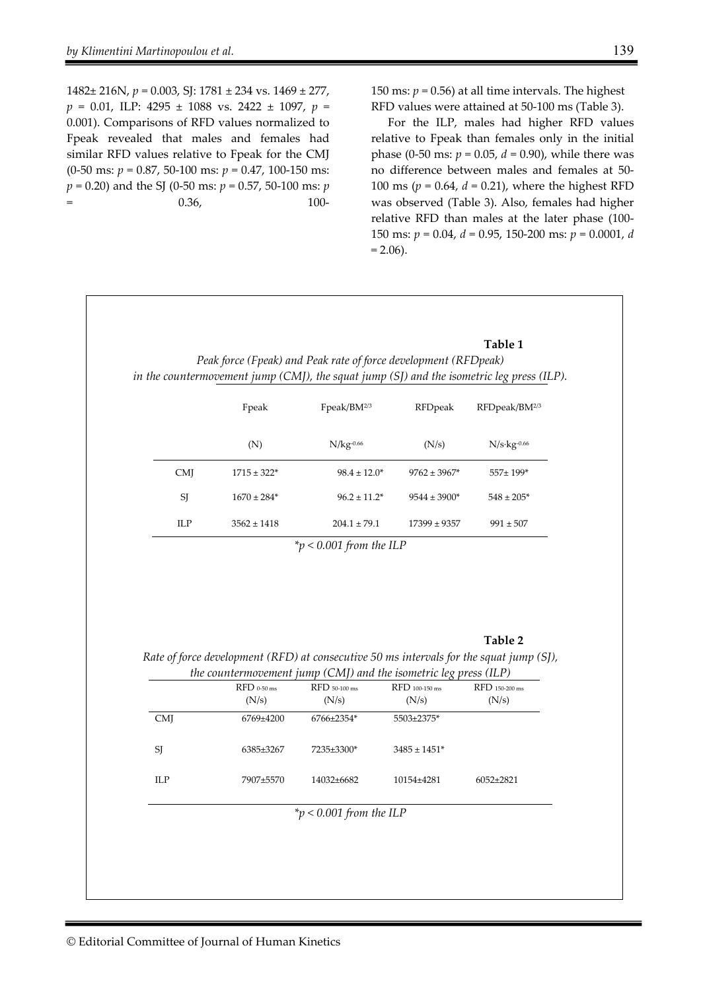1482± 216N, *p* = 0.003, SJ: 1781 ± 234 vs. 1469 ± 277, *p* = 0.01, ILP: 4295 ± 1088 vs. 2422 ± 1097, *p* = 0.001). Comparisons of RFD values normalized to Fpeak revealed that males and females had similar RFD values relative to Fpeak for the CMJ (0-50 ms: *p* = 0.87, 50-100 ms: *p* = 0.47, 100-150 ms: *p* = 0.20) and the SJ (0-50 ms: *p* = 0.57, 50-100 ms: *p*  $=$  0.36, 100-

150 ms:  $p = 0.56$ ) at all time intervals. The highest RFD values were attained at 50-100 ms (Table 3).

For the ILP, males had higher RFD values relative to Fpeak than females only in the initial phase (0-50 ms:  $p = 0.05$ ,  $d = 0.90$ ), while there was no difference between males and females at 50- 100 ms ( $p = 0.64$ ,  $d = 0.21$ ), where the highest RFD was observed (Table 3). Also, females had higher relative RFD than males at the later phase (100- 150 ms: *p* = 0.04, *d* = 0.95, 150-200 ms: *p* = 0.0001, *d*  $= 2.06$ ).

| Peak force (Fpeak) and Peak rate of force development (RFDpeak)<br>in the countermovement jump (CMJ), the squat jump (SJ) and the isometric leg press (ILP). |                   |                   |                            |  |  |  |  |
|--------------------------------------------------------------------------------------------------------------------------------------------------------------|-------------------|-------------------|----------------------------|--|--|--|--|
| Fpeak                                                                                                                                                        | Fpeak/B $M2/3$    | RFDpeak           | RFDpeak/BM2/3              |  |  |  |  |
| (N)                                                                                                                                                          | $N/kg-0.66$       | (N/s)             | $N/s$ ·kg <sup>-0.66</sup> |  |  |  |  |
| $1715 \pm 322*$                                                                                                                                              | $98.4 \pm 12.0^*$ | $9762 \pm 3967$ * | 557±199*                   |  |  |  |  |
| $1670 \pm 284*$                                                                                                                                              | $96.2 \pm 11.2^*$ | $9544 \pm 3900*$  | $548 \pm 205*$             |  |  |  |  |
| $3562 \pm 1418$                                                                                                                                              | $204.1 \pm 79.1$  | $17399 \pm 9357$  | $991 \pm 507$              |  |  |  |  |
|                                                                                                                                                              |                   |                   |                            |  |  |  |  |

#### **Table 2**

*Rate of force development (RFD) at consecutive 50 ms intervals for the squat jump (SJ), the countermovement jump (CMJ) and the isometric leg press (ILP)* 

|                         |               | $\ldots$ commented and $\ldots$ form $\vdots$ cannot me to define the $\alpha$ production $\ldots$ |                              |                 |  |  |  |
|-------------------------|---------------|----------------------------------------------------------------------------------------------------|------------------------------|-----------------|--|--|--|
|                         | $RFD$ 0-50 ms | RFD 50-100 ms                                                                                      | RFD 100-150 ms               | RFD 150-200 ms  |  |  |  |
|                         | (N/s)         | (N/s)                                                                                              | (N/s)                        | (N/s)           |  |  |  |
| <b>CMI</b>              | 6769±4200     | 6766±2354*                                                                                         | 5503±2375*                   |                 |  |  |  |
|                         |               |                                                                                                    |                              |                 |  |  |  |
| SJ                      | 6385±3267     | 7235±3300*                                                                                         | $3485 \pm 1451$ <sup>*</sup> |                 |  |  |  |
|                         |               |                                                                                                    |                              |                 |  |  |  |
| ILP                     | 7907±5570     | 14032±6682                                                                                         | 10154±4281                   | $6052 \pm 2821$ |  |  |  |
|                         |               |                                                                                                    |                              |                 |  |  |  |
| *p < 0.001 from the ILP |               |                                                                                                    |                              |                 |  |  |  |
|                         |               |                                                                                                    |                              |                 |  |  |  |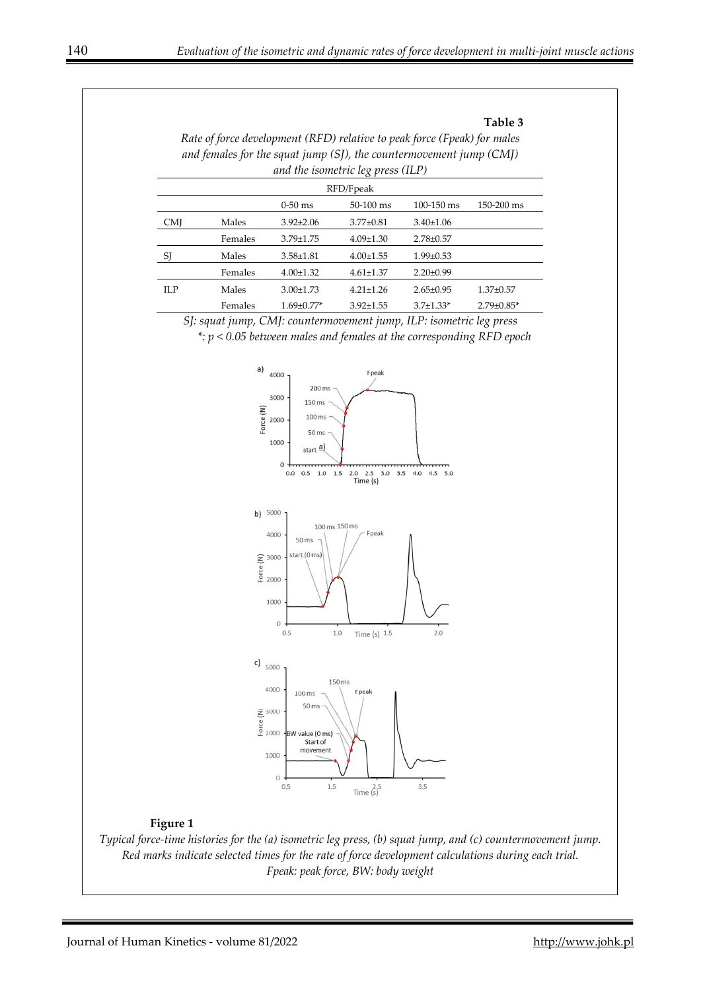#### **Table 3**

*Rate of force development (RFD) relative to peak force (Fpeak) for males and females for the squat jump (SJ), the countermovement jump (CMJ) and the isometric leg press (ILP)* 

| $\circ$ 1 |         |                  |                 |                 |                   |  |  |  |
|-----------|---------|------------------|-----------------|-----------------|-------------------|--|--|--|
| RFD/Fpeak |         |                  |                 |                 |                   |  |  |  |
|           |         | $0-50$ ms        | $50-100$ ms     | $100 - 150$ ms  | $150 - 200$ ms    |  |  |  |
| CMJ       | Males   | $3.92 \pm 2.06$  | $3.77 \pm 0.81$ | $3.40 \pm 1.06$ |                   |  |  |  |
|           | Females | $3.79 \pm 1.75$  | $4.09 \pm 1.30$ | $2.78 \pm 0.57$ |                   |  |  |  |
| SJ        | Males   | $3.58 \pm 1.81$  | $4.00 \pm 1.55$ | $1.99 \pm 0.53$ |                   |  |  |  |
|           | Females | $4.00 \pm 1.32$  | $4.61 \pm 1.37$ | $2.20 \pm 0.99$ |                   |  |  |  |
| ILP       | Males   | $3.00 \pm 1.73$  | $4.21 \pm 1.26$ | $2.65 \pm 0.95$ | $1.37 \pm 0.57$   |  |  |  |
|           | Females | $1.69 \pm 0.77*$ | $3.92 \pm 1.55$ | $3.7 \pm 1.33*$ | $2.79 \pm 0.85$ * |  |  |  |

*SJ: squat jump, CMJ: countermovement jump, ILP: isometric leg press* 

*\*: p < 0.05 between males and females at the corresponding RFD epoch*



#### **Figure 1**

*Typical force-time histories for the (a) isometric leg press, (b) squat jump, and (c) countermovement jump. Red marks indicate selected times for the rate of force development calculations during each trial. Fpeak: peak force, BW: body weight*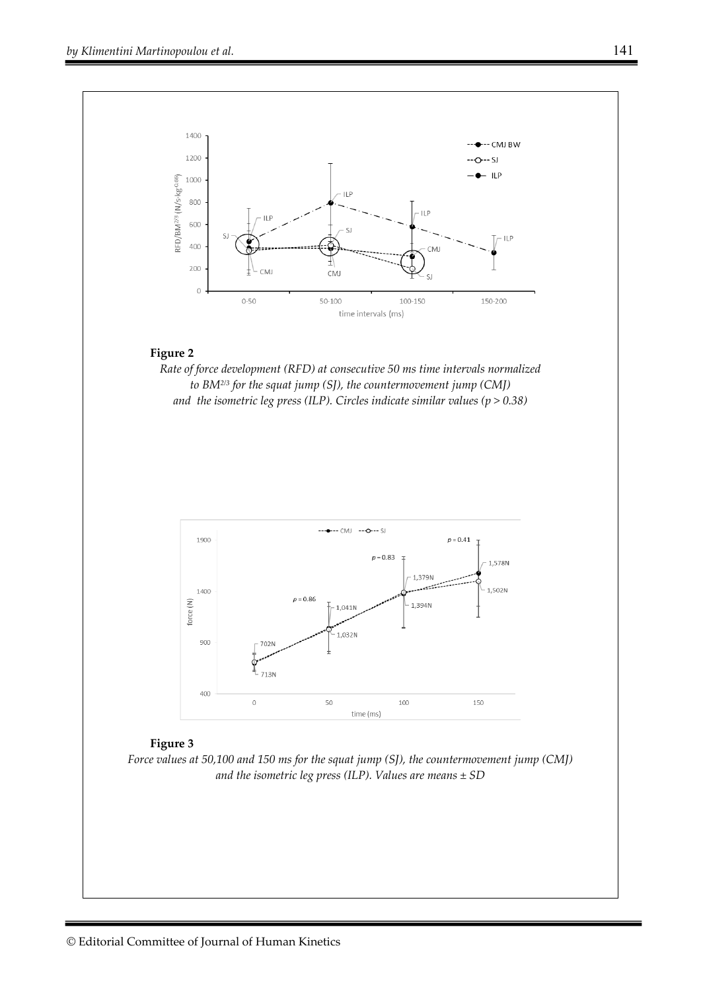

#### **Figure 2**

*Rate of force development (RFD) at consecutive 50 ms time intervals normalized to BM2/3 for the squat jump (SJ), the countermovement jump (CMJ) and the isometric leg press (ILP). Circles indicate similar values (p > 0.38)* 



#### **Figure 3**

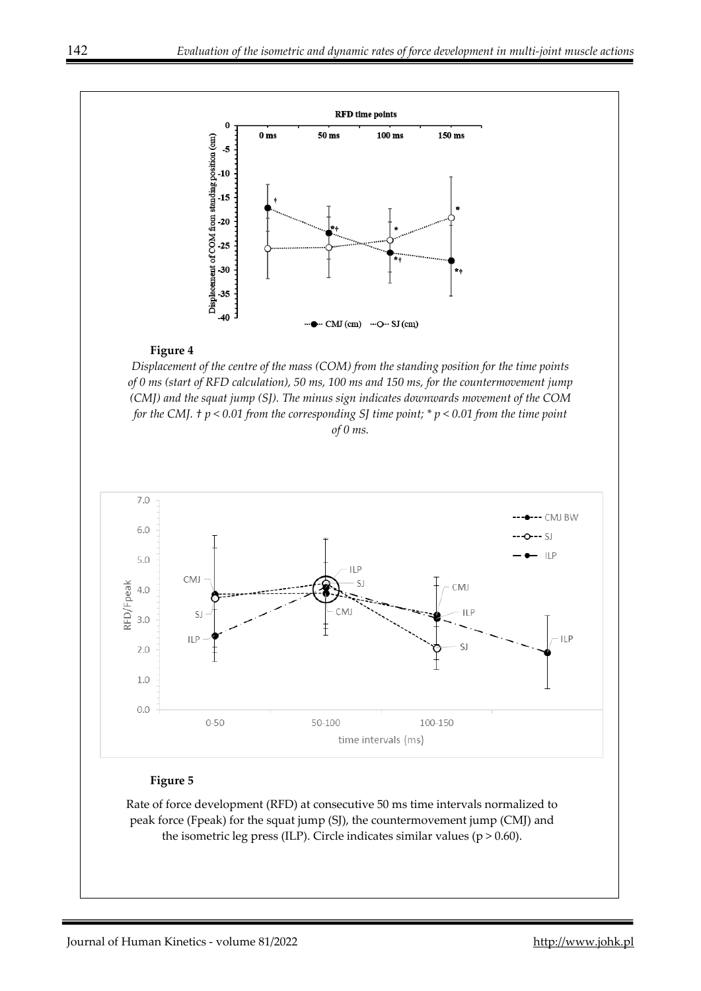

#### **Figure 4**

*Displacement of the centre of the mass (COM) from the standing position for the time points of 0 ms (start of RFD calculation), 50 ms, 100 ms and 150 ms, for the countermovement jump (CMJ) and the squat jump (SJ). The minus sign indicates downwards movement of the COM for the CMJ. † p < 0.01 from the corresponding SJ time point; \* p < 0.01 from the time point of 0 ms.*



### **Figure 5**

Rate of force development (RFD) at consecutive 50 ms time intervals normalized to peak force (Fpeak) for the squat jump (SJ), the countermovement jump (CMJ) and the isometric leg press (ILP). Circle indicates similar values ( $p > 0.60$ ).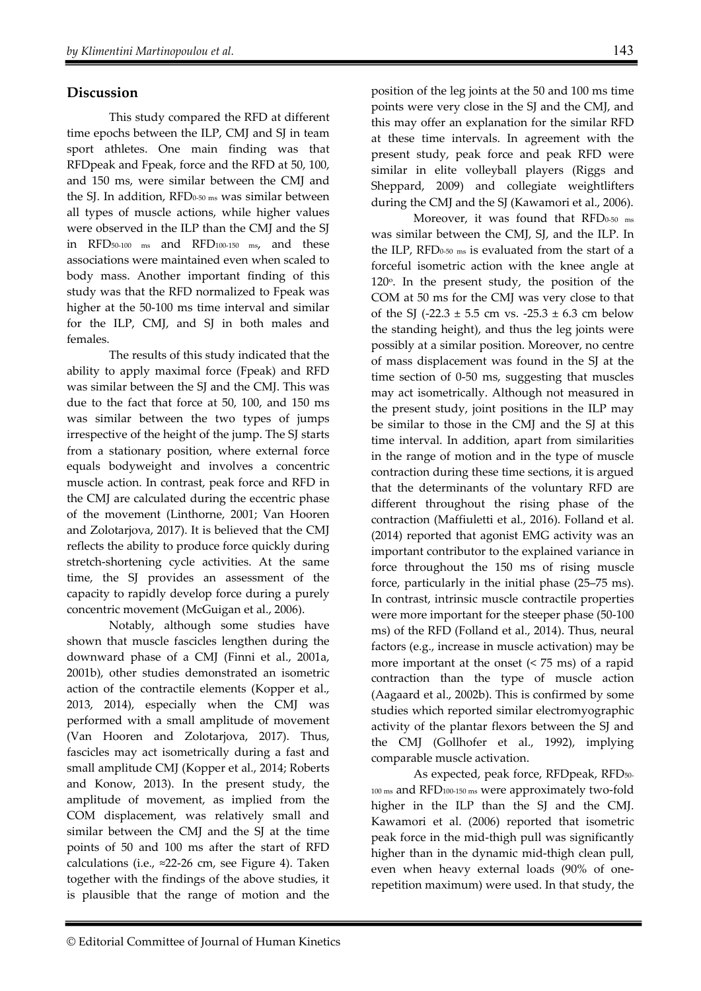# **Discussion**

This study compared the RFD at different time epochs between the ILP, CMJ and SJ in team sport athletes. One main finding was that RFDpeak and Fpeak, force and the RFD at 50, 100, and 150 ms, were similar between the CMJ and the SJ. In addition, RFD0-50 ms was similar between all types of muscle actions, while higher values were observed in the ILP than the CMJ and the SJ in RFD50-100 ms and RFD100-150 ms, and these associations were maintained even when scaled to body mass. Another important finding of this study was that the RFD normalized to Fpeak was higher at the 50-100 ms time interval and similar for the ILP, CMJ, and SJ in both males and females.

The results of this study indicated that the ability to apply maximal force (Fpeak) and RFD was similar between the SJ and the CMJ. This was due to the fact that force at 50, 100, and 150 ms was similar between the two types of jumps irrespective of the height of the jump. The SJ starts from a stationary position, where external force equals bodyweight and involves a concentric muscle action. In contrast, peak force and RFD in the CMJ are calculated during the eccentric phase of the movement (Linthorne, 2001; Van Hooren and Zolotarjova, 2017). It is believed that the CMJ reflects the ability to produce force quickly during stretch-shortening cycle activities. At the same time, the SJ provides an assessment of the capacity to rapidly develop force during a purely concentric movement (McGuigan et al., 2006).

Notably, although some studies have shown that muscle fascicles lengthen during the downward phase of a CMJ (Finni et al., 2001a, 2001b), other studies demonstrated an isometric action of the contractile elements (Kopper et al., 2013, 2014), especially when the CMJ was performed with a small amplitude of movement (Van Hooren and Zolotarjova, 2017). Thus, fascicles may act isometrically during a fast and small amplitude CMJ (Kopper et al., 2014; Roberts and Konow, 2013). In the present study, the amplitude of movement, as implied from the COM displacement, was relatively small and similar between the CMJ and the SJ at the time points of 50 and 100 ms after the start of RFD calculations (i.e.,  $\approx$ 22-26 cm, see Figure 4). Taken together with the findings of the above studies, it is plausible that the range of motion and the position of the leg joints at the 50 and 100 ms time points were very close in the SJ and the CMJ, and this may offer an explanation for the similar RFD at these time intervals. In agreement with the present study, peak force and peak RFD were similar in elite volleyball players (Riggs and Sheppard, 2009) and collegiate weightlifters during the CMJ and the SJ (Kawamori et al., 2006).

Moreover, it was found that RFD<sub>0-50</sub> ms was similar between the CMJ, SJ, and the ILP. In the ILP, RFD $_{0.50 \text{ ms}}$  is evaluated from the start of a forceful isometric action with the knee angle at 120 $\degree$ . In the present study, the position of the COM at 50 ms for the CMJ was very close to that of the SJ (-22.3  $\pm$  5.5 cm vs. -25.3  $\pm$  6.3 cm below the standing height), and thus the leg joints were possibly at a similar position. Moreover, no centre of mass displacement was found in the SJ at the time section of 0-50 ms, suggesting that muscles may act isometrically. Although not measured in the present study, joint positions in the ILP may be similar to those in the CMJ and the SJ at this time interval. In addition, apart from similarities in the range of motion and in the type of muscle contraction during these time sections, it is argued that the determinants of the voluntary RFD are different throughout the rising phase of the contraction (Maffiuletti et al., 2016). Folland et al. (2014) reported that agonist EMG activity was an important contributor to the explained variance in force throughout the 150 ms of rising muscle force, particularly in the initial phase (25–75 ms). In contrast, intrinsic muscle contractile properties were more important for the steeper phase (50-100 ms) of the RFD (Folland et al., 2014). Thus, neural factors (e.g., increase in muscle activation) may be more important at the onset  $($  <  $75$  ms $)$  of a rapid contraction than the type of muscle action (Aagaard et al., 2002b). This is confirmed by some studies which reported similar electromyographic activity of the plantar flexors between the SJ and the CMJ (Gollhofer et al., 1992), implying comparable muscle activation.

As expected, peak force, RFDpeak, RFD<sub>50-</sub> 100 ms and RFD100-150 ms were approximately two-fold higher in the ILP than the SJ and the CMJ. Kawamori et al. (2006) reported that isometric peak force in the mid-thigh pull was significantly higher than in the dynamic mid-thigh clean pull, even when heavy external loads (90% of onerepetition maximum) were used. In that study, the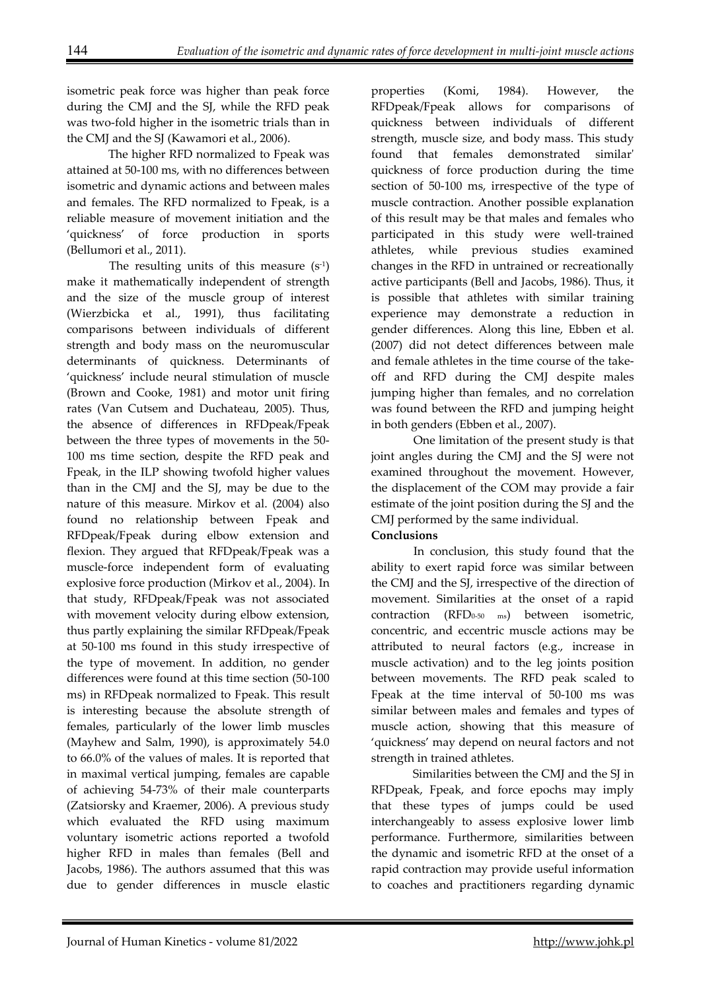isometric peak force was higher than peak force during the CMJ and the SJ, while the RFD peak was two-fold higher in the isometric trials than in the CMJ and the SJ (Kawamori et al., 2006).

 The higher RFD normalized to Fpeak was attained at 50-100 ms, with no differences between isometric and dynamic actions and between males and females. The RFD normalized to Fpeak, is a reliable measure of movement initiation and the 'quickness' of force production in sports (Bellumori et al., 2011).

The resulting units of this measure  $(s<sup>-1</sup>)$ make it mathematically independent of strength and the size of the muscle group of interest (Wierzbicka et al., 1991), thus facilitating comparisons between individuals of different strength and body mass on the neuromuscular determinants of quickness. Determinants of 'quickness' include neural stimulation of muscle (Brown and Cooke, 1981) and motor unit firing rates (Van Cutsem and Duchateau, 2005). Thus, the absence of differences in RFDpeak/Fpeak between the three types of movements in the 50- 100 ms time section, despite the RFD peak and Fpeak, in the ILP showing twofold higher values than in the CMJ and the SJ, may be due to the nature of this measure. Mirkov et al. (2004) also found no relationship between Fpeak and RFDpeak/Fpeak during elbow extension and flexion. They argued that RFDpeak/Fpeak was a muscle-force independent form of evaluating explosive force production (Mirkov et al., 2004). In that study, RFDpeak/Fpeak was not associated with movement velocity during elbow extension, thus partly explaining the similar RFDpeak/Fpeak at 50-100 ms found in this study irrespective of the type of movement. In addition, no gender differences were found at this time section (50-100 ms) in RFDpeak normalized to Fpeak. This result is interesting because the absolute strength of females, particularly of the lower limb muscles (Mayhew and Salm, 1990), is approximately 54.0 to 66.0% of the values of males. It is reported that in maximal vertical jumping, females are capable of achieving 54-73% of their male counterparts (Zatsiorsky and Kraemer, 2006). A previous study which evaluated the RFD using maximum voluntary isometric actions reported a twofold higher RFD in males than females (Bell and Jacobs, 1986). The authors assumed that this was due to gender differences in muscle elastic

properties (Komi, 1984). However, the RFDpeak/Fpeak allows for comparisons of quickness between individuals of different strength, muscle size, and body mass. This study found that females demonstrated similar' quickness of force production during the time section of 50-100 ms, irrespective of the type of muscle contraction. Another possible explanation of this result may be that males and females who participated in this study were well-trained athletes, while previous studies examined changes in the RFD in untrained or recreationally active participants (Bell and Jacobs, 1986). Thus, it is possible that athletes with similar training experience may demonstrate a reduction in gender differences. Along this line, Ebben et al. (2007) did not detect differences between male and female athletes in the time course of the takeoff and RFD during the CMJ despite males jumping higher than females, and no correlation was found between the RFD and jumping height in both genders (Ebben et al., 2007).

One limitation of the present study is that joint angles during the CMJ and the SJ were not examined throughout the movement. However, the displacement of the COM may provide a fair estimate of the joint position during the SJ and the CMJ performed by the same individual.

## **Conclusions**

In conclusion, this study found that the ability to exert rapid force was similar between the CMJ and the SJ, irrespective of the direction of movement. Similarities at the onset of a rapid contraction (RFD<sub>0-50 ms</sub>) between isometric, concentric, and eccentric muscle actions may be attributed to neural factors (e.g., increase in muscle activation) and to the leg joints position between movements. The RFD peak scaled to Fpeak at the time interval of 50-100 ms was similar between males and females and types of muscle action, showing that this measure of 'quickness' may depend on neural factors and not strength in trained athletes.

Similarities between the CMJ and the SJ in RFDpeak, Fpeak, and force epochs may imply that these types of jumps could be used interchangeably to assess explosive lower limb performance. Furthermore, similarities between the dynamic and isometric RFD at the onset of a rapid contraction may provide useful information to coaches and practitioners regarding dynamic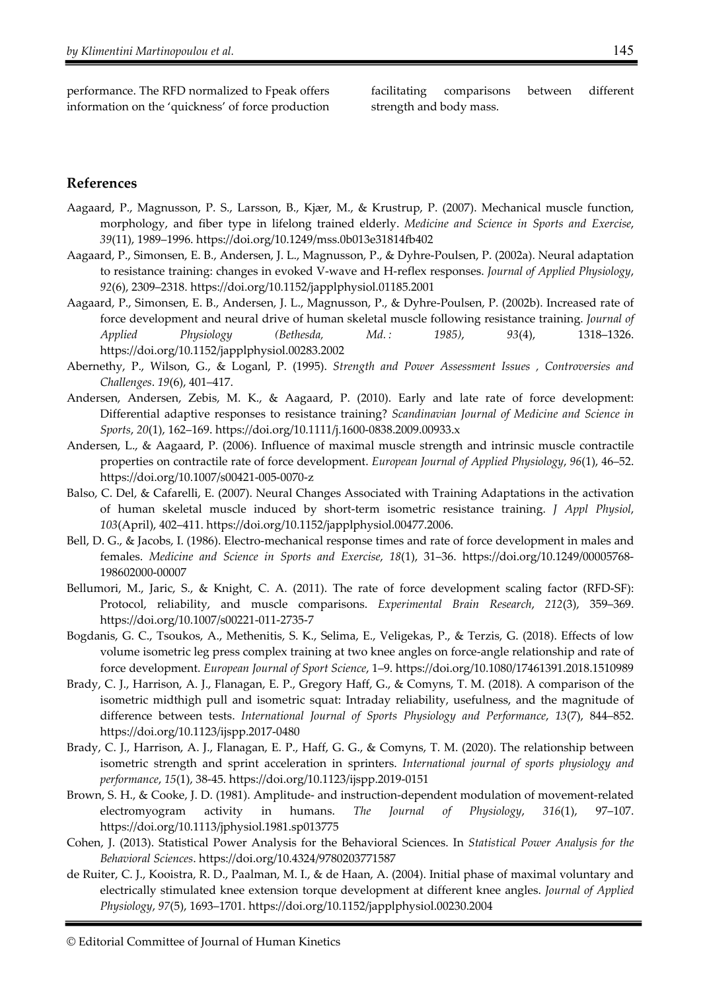performance. The RFD normalized to Fpeak offers information on the 'quickness' of force production

facilitating comparisons between different strength and body mass.

### **References**

- Aagaard, P., Magnusson, P. S., Larsson, B., Kjær, M., & Krustrup, P. (2007). Mechanical muscle function, morphology, and fiber type in lifelong trained elderly. *Medicine and Science in Sports and Exercise*, *39*(11), 1989–1996. https://doi.org/10.1249/mss.0b013e31814fb402
- Aagaard, P., Simonsen, E. B., Andersen, J. L., Magnusson, P., & Dyhre-Poulsen, P. (2002a). Neural adaptation to resistance training: changes in evoked V-wave and H-reflex responses. *Journal of Applied Physiology*, *92*(6), 2309–2318. https://doi.org/10.1152/japplphysiol.01185.2001
- Aagaard, P., Simonsen, E. B., Andersen, J. L., Magnusson, P., & Dyhre-Poulsen, P. (2002b). Increased rate of force development and neural drive of human skeletal muscle following resistance training. *Journal of Applied Physiology (Bethesda, Md. : 1985)*, *93*(4), 1318–1326. https://doi.org/10.1152/japplphysiol.00283.2002
- Abernethy, P., Wilson, G., & Loganl, P. (1995). *Strength and Power Assessment Issues , Controversies and Challenges*. *19*(6), 401–417.
- Andersen, Andersen, Zebis, M. K., & Aagaard, P. (2010). Early and late rate of force development: Differential adaptive responses to resistance training? *Scandinavian Journal of Medicine and Science in Sports*, *20*(1), 162–169. https://doi.org/10.1111/j.1600-0838.2009.00933.x
- Andersen, L., & Aagaard, P. (2006). Influence of maximal muscle strength and intrinsic muscle contractile properties on contractile rate of force development. *European Journal of Applied Physiology*, *96*(1), 46–52. https://doi.org/10.1007/s00421-005-0070-z
- Balso, C. Del, & Cafarelli, E. (2007). Neural Changes Associated with Training Adaptations in the activation of human skeletal muscle induced by short-term isometric resistance training. *J Appl Physiol*, *103*(April), 402–411. https://doi.org/10.1152/japplphysiol.00477.2006.
- Bell, D. G., & Jacobs, I. (1986). Electro-mechanical response times and rate of force development in males and females. *Medicine and Science in Sports and Exercise*, *18*(1), 31–36. https://doi.org/10.1249/00005768- 198602000-00007
- Bellumori, M., Jaric, S., & Knight, C. A. (2011). The rate of force development scaling factor (RFD-SF): Protocol, reliability, and muscle comparisons. *Experimental Brain Research*, *212*(3), 359–369. https://doi.org/10.1007/s00221-011-2735-7
- Bogdanis, G. C., Tsoukos, A., Methenitis, S. K., Selima, E., Veligekas, P., & Terzis, G. (2018). Effects of low volume isometric leg press complex training at two knee angles on force-angle relationship and rate of force development. *European Journal of Sport Science*, 1–9. https://doi.org/10.1080/17461391.2018.1510989
- Brady, C. J., Harrison, A. J., Flanagan, E. P., Gregory Haff, G., & Comyns, T. M. (2018). A comparison of the isometric midthigh pull and isometric squat: Intraday reliability, usefulness, and the magnitude of difference between tests. *International Journal of Sports Physiology and Performance*, *13*(7), 844–852. https://doi.org/10.1123/ijspp.2017-0480
- Brady, C. J., Harrison, A. J., Flanagan, E. P., Haff, G. G., & Comyns, T. M. (2020). The relationship between isometric strength and sprint acceleration in sprinters. *International journal of sports physiology and performance*, *15*(1), 38-45. https://doi.org/10.1123/ijspp.2019-0151
- Brown, S. H., & Cooke, J. D. (1981). Amplitude- and instruction-dependent modulation of movement-related electromyogram activity in humans. *The Journal of Physiology*, *316*(1), 97–107. https://doi.org/10.1113/jphysiol.1981.sp013775
- Cohen, J. (2013). Statistical Power Analysis for the Behavioral Sciences. In *Statistical Power Analysis for the Behavioral Sciences*. https://doi.org/10.4324/9780203771587
- de Ruiter, C. J., Kooistra, R. D., Paalman, M. I., & de Haan, A. (2004). Initial phase of maximal voluntary and electrically stimulated knee extension torque development at different knee angles. *Journal of Applied Physiology*, *97*(5), 1693–1701. https://doi.org/10.1152/japplphysiol.00230.2004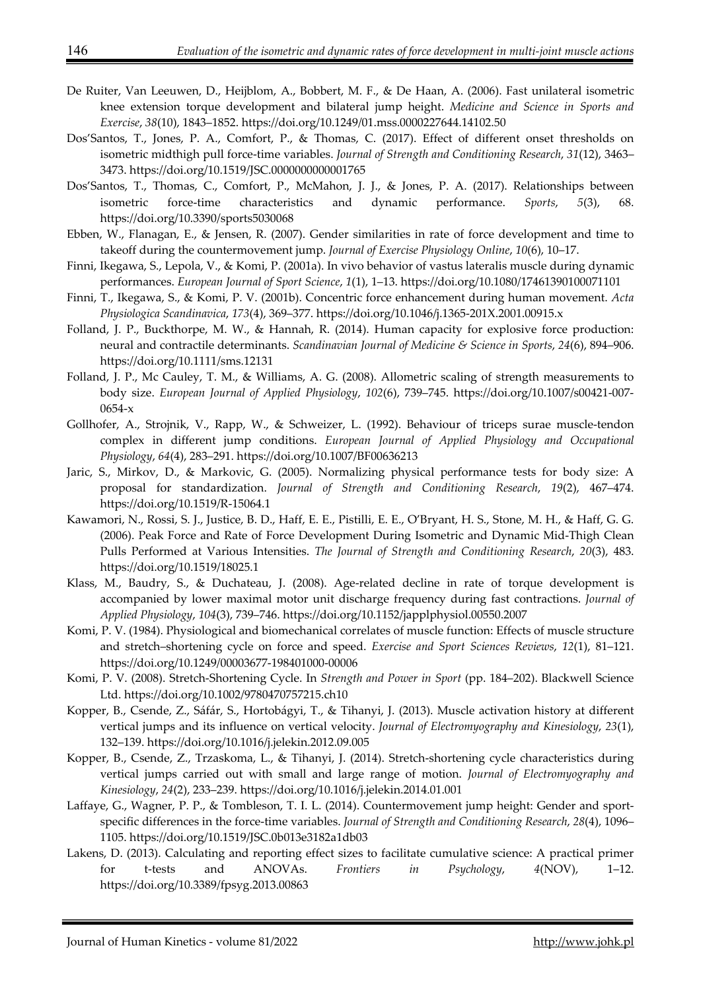- De Ruiter, Van Leeuwen, D., Heijblom, A., Bobbert, M. F., & De Haan, A. (2006). Fast unilateral isometric knee extension torque development and bilateral jump height. *Medicine and Science in Sports and Exercise*, *38*(10), 1843–1852. https://doi.org/10.1249/01.mss.0000227644.14102.50
- Dos'Santos, T., Jones, P. A., Comfort, P., & Thomas, C. (2017). Effect of different onset thresholds on isometric midthigh pull force-time variables. *Journal of Strength and Conditioning Research*, *31*(12), 3463– 3473. https://doi.org/10.1519/JSC.0000000000001765
- Dos'Santos, T., Thomas, C., Comfort, P., McMahon, J. J., & Jones, P. A. (2017). Relationships between isometric force-time characteristics and dynamic performance. *Sports*, *5*(3), 68. https://doi.org/10.3390/sports5030068
- Ebben, W., Flanagan, E., & Jensen, R. (2007). Gender similarities in rate of force development and time to takeoff during the countermovement jump. *Journal of Exercise Physiology Online*, *10*(6), 10–17.
- Finni, Ikegawa, S., Lepola, V., & Komi, P. (2001a). In vivo behavior of vastus lateralis muscle during dynamic performances. *European Journal of Sport Science*, *1*(1), 1–13. https://doi.org/10.1080/17461390100071101
- Finni, T., Ikegawa, S., & Komi, P. V. (2001b). Concentric force enhancement during human movement. *Acta Physiologica Scandinavica*, *173*(4), 369–377. https://doi.org/10.1046/j.1365-201X.2001.00915.x
- Folland, J. P., Buckthorpe, M. W., & Hannah, R. (2014). Human capacity for explosive force production: neural and contractile determinants. *Scandinavian Journal of Medicine & Science in Sports*, *24*(6), 894–906. https://doi.org/10.1111/sms.12131
- Folland, J. P., Mc Cauley, T. M., & Williams, A. G. (2008). Allometric scaling of strength measurements to body size. *European Journal of Applied Physiology*, *102*(6), 739–745. https://doi.org/10.1007/s00421-007- 0654-x
- Gollhofer, A., Strojnik, V., Rapp, W., & Schweizer, L. (1992). Behaviour of triceps surae muscle-tendon complex in different jump conditions. *European Journal of Applied Physiology and Occupational Physiology*, *64*(4), 283–291. https://doi.org/10.1007/BF00636213
- Jaric, S., Mirkov, D., & Markovic, G. (2005). Normalizing physical performance tests for body size: A proposal for standardization. *Journal of Strength and Conditioning Research*, *19*(2), 467–474. https://doi.org/10.1519/R-15064.1
- Kawamori, N., Rossi, S. J., Justice, B. D., Haff, E. E., Pistilli, E. E., O'Bryant, H. S., Stone, M. H., & Haff, G. G. (2006). Peak Force and Rate of Force Development During Isometric and Dynamic Mid-Thigh Clean Pulls Performed at Various Intensities. *The Journal of Strength and Conditioning Research*, *20*(3), 483. https://doi.org/10.1519/18025.1
- Klass, M., Baudry, S., & Duchateau, J. (2008). Age-related decline in rate of torque development is accompanied by lower maximal motor unit discharge frequency during fast contractions. *Journal of Applied Physiology*, *104*(3), 739–746. https://doi.org/10.1152/japplphysiol.00550.2007
- Komi, P. V. (1984). Physiological and biomechanical correlates of muscle function: Effects of muscle structure and stretch–shortening cycle on force and speed. *Exercise and Sport Sciences Reviews*, *12*(1), 81–121. https://doi.org/10.1249/00003677-198401000-00006
- Komi, P. V. (2008). Stretch-Shortening Cycle. In *Strength and Power in Sport* (pp. 184–202). Blackwell Science Ltd. https://doi.org/10.1002/9780470757215.ch10
- Kopper, B., Csende, Z., Sáfár, S., Hortobágyi, T., & Tihanyi, J. (2013). Muscle activation history at different vertical jumps and its influence on vertical velocity. *Journal of Electromyography and Kinesiology*, *23*(1), 132–139. https://doi.org/10.1016/j.jelekin.2012.09.005
- Kopper, B., Csende, Z., Trzaskoma, L., & Tihanyi, J. (2014). Stretch-shortening cycle characteristics during vertical jumps carried out with small and large range of motion. *Journal of Electromyography and Kinesiology*, *24*(2), 233–239. https://doi.org/10.1016/j.jelekin.2014.01.001
- Laffaye, G., Wagner, P. P., & Tombleson, T. I. L. (2014). Countermovement jump height: Gender and sportspecific differences in the force-time variables. *Journal of Strength and Conditioning Research*, *28*(4), 1096– 1105. https://doi.org/10.1519/JSC.0b013e3182a1db03
- Lakens, D. (2013). Calculating and reporting effect sizes to facilitate cumulative science: A practical primer for t-tests and ANOVAs. *Frontiers in Psychology*, *4*(NOV), 1–12. https://doi.org/10.3389/fpsyg.2013.00863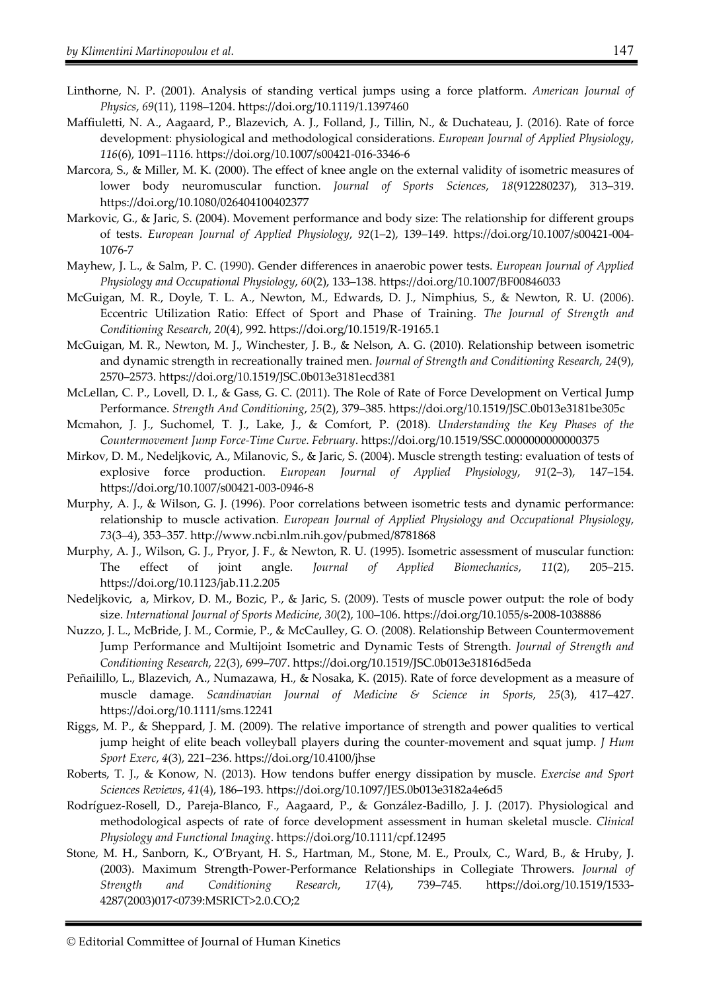- Linthorne, N. P. (2001). Analysis of standing vertical jumps using a force platform. *American Journal of Physics*, *69*(11), 1198–1204. https://doi.org/10.1119/1.1397460
- Maffiuletti, N. A., Aagaard, P., Blazevich, A. J., Folland, J., Tillin, N., & Duchateau, J. (2016). Rate of force development: physiological and methodological considerations. *European Journal of Applied Physiology*, *116*(6), 1091–1116. https://doi.org/10.1007/s00421-016-3346-6
- Marcora, S., & Miller, M. K. (2000). The effect of knee angle on the external validity of isometric measures of lower body neuromuscular function. *Journal of Sports Sciences*, *18*(912280237), 313–319. https://doi.org/10.1080/026404100402377
- Markovic, G., & Jaric, S. (2004). Movement performance and body size: The relationship for different groups of tests. *European Journal of Applied Physiology*, *92*(1–2), 139–149. https://doi.org/10.1007/s00421-004- 1076-7
- Mayhew, J. L., & Salm, P. C. (1990). Gender differences in anaerobic power tests. *European Journal of Applied Physiology and Occupational Physiology*, *60*(2), 133–138. https://doi.org/10.1007/BF00846033
- McGuigan, M. R., Doyle, T. L. A., Newton, M., Edwards, D. J., Nimphius, S., & Newton, R. U. (2006). Eccentric Utilization Ratio: Effect of Sport and Phase of Training. *The Journal of Strength and Conditioning Research*, *20*(4), 992. https://doi.org/10.1519/R-19165.1
- McGuigan, M. R., Newton, M. J., Winchester, J. B., & Nelson, A. G. (2010). Relationship between isometric and dynamic strength in recreationally trained men. *Journal of Strength and Conditioning Research*, *24*(9), 2570–2573. https://doi.org/10.1519/JSC.0b013e3181ecd381
- McLellan, C. P., Lovell, D. I., & Gass, G. C. (2011). The Role of Rate of Force Development on Vertical Jump Performance. *Strength And Conditioning*, *25*(2), 379–385. https://doi.org/10.1519/JSC.0b013e3181be305c
- Mcmahon, J. J., Suchomel, T. J., Lake, J., & Comfort, P. (2018). *Understanding the Key Phases of the Countermovement Jump Force-Time Curve*. *February*. https://doi.org/10.1519/SSC.0000000000000375
- Mirkov, D. M., Nedeljkovic, A., Milanovic, S., & Jaric, S. (2004). Muscle strength testing: evaluation of tests of explosive force production. *European Journal of Applied Physiology*, *91*(2–3), 147–154. https://doi.org/10.1007/s00421-003-0946-8
- Murphy, A. J., & Wilson, G. J. (1996). Poor correlations between isometric tests and dynamic performance: relationship to muscle activation. *European Journal of Applied Physiology and Occupational Physiology*, *73*(3–4), 353–357. http://www.ncbi.nlm.nih.gov/pubmed/8781868
- Murphy, A. J., Wilson, G. J., Pryor, J. F., & Newton, R. U. (1995). Isometric assessment of muscular function: The effect of joint angle. *Journal of Applied Biomechanics*, *11*(2), 205–215. https://doi.org/10.1123/jab.11.2.205
- Nedeljkovic, a, Mirkov, D. M., Bozic, P., & Jaric, S. (2009). Tests of muscle power output: the role of body size. *International Journal of Sports Medicine*, *30*(2), 100–106. https://doi.org/10.1055/s-2008-1038886
- Nuzzo, J. L., McBride, J. M., Cormie, P., & McCaulley, G. O. (2008). Relationship Between Countermovement Jump Performance and Multijoint Isometric and Dynamic Tests of Strength. *Journal of Strength and Conditioning Research*, *22*(3), 699–707. https://doi.org/10.1519/JSC.0b013e31816d5eda
- Peñailillo, L., Blazevich, A., Numazawa, H., & Nosaka, K. (2015). Rate of force development as a measure of muscle damage. *Scandinavian Journal of Medicine & Science in Sports*, *25*(3), 417–427. https://doi.org/10.1111/sms.12241
- Riggs, M. P., & Sheppard, J. M. (2009). The relative importance of strength and power qualities to vertical jump height of elite beach volleyball players during the counter-movement and squat jump. *J Hum Sport Exerc*, *4*(3), 221–236. https://doi.org/10.4100/jhse
- Roberts, T. J., & Konow, N. (2013). How tendons buffer energy dissipation by muscle. *Exercise and Sport Sciences Reviews*, *41*(4), 186–193. https://doi.org/10.1097/JES.0b013e3182a4e6d5
- Rodríguez-Rosell, D., Pareja-Blanco, F., Aagaard, P., & González-Badillo, J. J. (2017). Physiological and methodological aspects of rate of force development assessment in human skeletal muscle. *Clinical Physiology and Functional Imaging*. https://doi.org/10.1111/cpf.12495
- Stone, M. H., Sanborn, K., O'Bryant, H. S., Hartman, M., Stone, M. E., Proulx, C., Ward, B., & Hruby, J. (2003). Maximum Strength-Power-Performance Relationships in Collegiate Throwers. *Journal of Strength and Conditioning Research*, *17*(4), 739–745. https://doi.org/10.1519/1533- 4287(2003)017<0739:MSRICT>2.0.CO;2